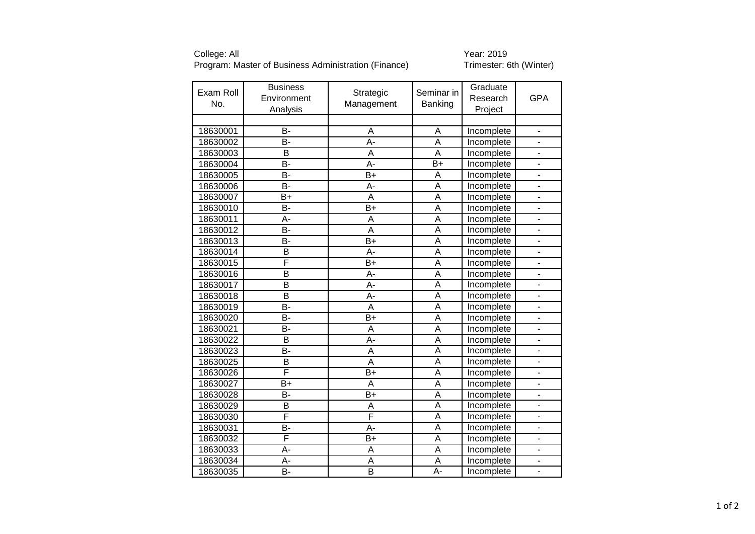College: All<br>Program: Master of Business Administration (Finance) Trimester: 6th (Winter) Program: Master of Business Administration (Finance)

| Exam Roll<br>No. | <b>Business</b><br>Environment<br>Analysis | Strategic<br>Management | Seminar in<br>Banking   | Graduate<br>Research<br>Project | <b>GPA</b>               |
|------------------|--------------------------------------------|-------------------------|-------------------------|---------------------------------|--------------------------|
|                  |                                            |                         |                         |                                 |                          |
| 18630001         | B-                                         | Α                       | A                       | Incomplete                      |                          |
| 18630002         | B-                                         | A-                      | A                       | Incomplete                      |                          |
| 18630003         | B                                          | A                       | A                       | Incomplete                      | $\overline{\phantom{0}}$ |
| 18630004         | B-                                         | A-                      | $\overline{B}$          | Incomplete                      |                          |
| 18630005         | B-                                         | $B+$                    | Α                       | Incomplete                      |                          |
| 18630006         | <b>B-</b>                                  | A-                      | $\overline{\mathsf{A}}$ | Incomplete                      |                          |
| 18630007         | $B+$                                       | A                       | $\overline{\mathsf{A}}$ | Incomplete                      |                          |
| 18630010         | <b>B-</b>                                  | $B+$                    | A                       | Incomplete                      |                          |
| 18630011         | А-                                         | A                       | $\overline{\mathsf{A}}$ | Incomplete                      |                          |
| 18630012         | B-                                         | A                       | $\overline{A}$          | Incomplete                      |                          |
| 18630013         | $\overline{B}$                             | $\overline{B+}$         | A                       | Incomplete                      |                          |
| 18630014         | B                                          | A-                      | $\overline{A}$          | Incomplete                      |                          |
| 18630015         | F                                          | $B+$                    | $\overline{A}$          | Incomplete                      |                          |
| 18630016         | $\overline{\mathsf{B}}$                    | A-                      | A                       | Incomplete                      |                          |
| 18630017         | $\overline{\mathsf{B}}$                    | $\overline{A}$ -        | $\overline{A}$          | Incomplete                      | $\overline{a}$           |
| 18630018         | B                                          | A-                      | A                       | Incomplete                      |                          |
| 18630019         | <b>B-</b>                                  | A                       | A                       | Incomplete                      |                          |
| 18630020         | <b>B-</b>                                  | $B+$                    | $\overline{\mathsf{A}}$ | Incomplete                      |                          |
| 18630021         | <b>B-</b>                                  | A                       | A                       | Incomplete                      |                          |
| 18630022         | B                                          | A-                      | A                       | Incomplete                      |                          |
| 18630023         | <b>B-</b>                                  | A                       | $\overline{\mathsf{A}}$ | Incomplete                      |                          |
| 18630025         | B                                          | A                       | $\overline{A}$          | Incomplete                      |                          |
| 18630026         | F                                          | B+                      | A                       | Incomplete                      |                          |
| 18630027         | $B+$                                       | A                       | $\overline{A}$          | Incomplete                      |                          |
| 18630028         | B-                                         | $B+$                    | A                       | Incomplete                      |                          |
| 18630029         | B                                          | A                       | A                       | Incomplete                      | $\overline{\phantom{0}}$ |
| 18630030         | F                                          | F                       | A                       | Incomplete                      | $\overline{\phantom{0}}$ |
| 18630031         | B-                                         | A-                      | A                       | Incomplete                      |                          |
| 18630032         | F                                          | $\overline{B+}$         | $\overline{A}$          | Incomplete                      |                          |
| 18630033         | A-                                         | A                       | $\overline{A}$          | Incomplete                      |                          |
| 18630034         | А-                                         | A                       | A                       | Incomplete                      |                          |
| 18630035         | $\overline{B}$                             | $\overline{B}$          | $A -$                   | Incomplete                      |                          |